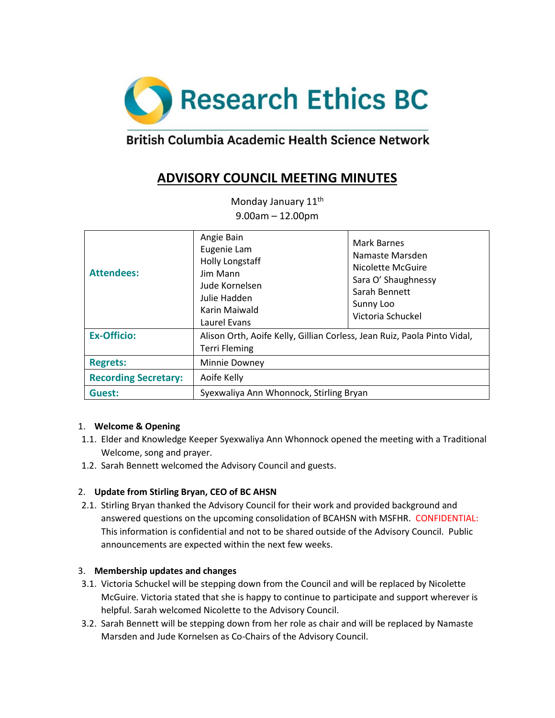

# British Columbia Academic Health Science Network

## **ADVISORY COUNCIL MEETING MINUTES**

Monday January 11<sup>th</sup> 9.00am – 12.00pm

| <b>Attendees:</b>           | Angie Bain<br>Eugenie Lam<br><b>Holly Longstaff</b><br>Jim Mann<br>Jude Kornelsen<br>Julie Hadden<br>Karin Maiwald<br>Laurel Evans | <b>Mark Barnes</b><br>Namaste Marsden<br>Nicolette McGuire<br>Sara O' Shaughnessy<br>Sarah Bennett<br>Sunny Loo<br>Victoria Schuckel |
|-----------------------------|------------------------------------------------------------------------------------------------------------------------------------|--------------------------------------------------------------------------------------------------------------------------------------|
| <b>Ex-Officio:</b>          | Alison Orth, Aoife Kelly, Gillian Corless, Jean Ruiz, Paola Pinto Vidal,<br><b>Terri Fleming</b>                                   |                                                                                                                                      |
| <b>Regrets:</b>             | Minnie Downey                                                                                                                      |                                                                                                                                      |
| <b>Recording Secretary:</b> | Aoife Kelly                                                                                                                        |                                                                                                                                      |
| Guest:                      | Syexwaliya Ann Whonnock, Stirling Bryan                                                                                            |                                                                                                                                      |

#### 1. **Welcome & Opening**

- 1.1. Elder and Knowledge Keeper Syexwaliya Ann Whonnock opened the meeting with a Traditional Welcome, song and prayer.
- 1.2. Sarah Bennett welcomed the Advisory Council and guests.

#### 2. **Update from Stirling Bryan, CEO of BC AHSN**

2.1. Stirling Bryan thanked the Advisory Council for their work and provided background and answered questions on the upcoming consolidation of BCAHSN with MSFHR. CONFIDENTIAL: This information is confidential and not to be shared outside of the Advisory Council. Public announcements are expected within the next few weeks.

#### 3. **Membership updates and changes**

- 3.1. Victoria Schuckel will be stepping down from the Council and will be replaced by Nicolette McGuire. Victoria stated that she is happy to continue to participate and support wherever is helpful. Sarah welcomed Nicolette to the Advisory Council.
- 3.2. Sarah Bennett will be stepping down from her role as chair and will be replaced by Namaste Marsden and Jude Kornelsen as Co-Chairs of the Advisory Council.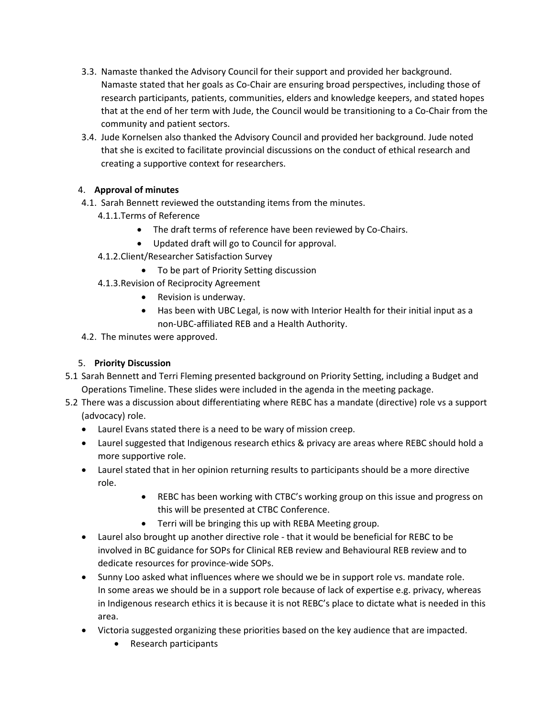- 3.3. Namaste thanked the Advisory Council for their support and provided her background. Namaste stated that her goals as Co-Chair are ensuring broad perspectives, including those of research participants, patients, communities, elders and knowledge keepers, and stated hopes that at the end of her term with Jude, the Council would be transitioning to a Co-Chair from the community and patient sectors.
- 3.4. Jude Kornelsen also thanked the Advisory Council and provided her background. Jude noted that she is excited to facilitate provincial discussions on the conduct of ethical research and creating a supportive context for researchers.

## 4. **Approval of minutes**

- 4.1. Sarah Bennett reviewed the outstanding items from the minutes.
	- 4.1.1.Terms of Reference
		- The draft terms of reference have been reviewed by Co-Chairs.
		- Updated draft will go to Council for approval.
	- 4.1.2.Client/Researcher Satisfaction Survey
		- To be part of Priority Setting discussion
	- 4.1.3.Revision of Reciprocity Agreement
		- Revision is underway.
		- Has been with UBC Legal, is now with Interior Health for their initial input as a non-UBC-affiliated REB and a Health Authority.
- 4.2. The minutes were approved.

## 5. **Priority Discussion**

- 5.1 Sarah Bennett and Terri Fleming presented background on Priority Setting, including a Budget and Operations Timeline. These slides were included in the agenda in the meeting package.
- 5.2 There was a discussion about differentiating where REBC has a mandate (directive) role vs a support (advocacy) role.
	- Laurel Evans stated there is a need to be wary of mission creep.
	- Laurel suggested that Indigenous research ethics & privacy are areas where REBC should hold a more supportive role.
	- Laurel stated that in her opinion returning results to participants should be a more directive role.
		- REBC has been working with CTBC's working group on this issue and progress on this will be presented at CTBC Conference.
		- Terri will be bringing this up with REBA Meeting group.
	- Laurel also brought up another directive role that it would be beneficial for REBC to be involved in BC guidance for SOPs for Clinical REB review and Behavioural REB review and to dedicate resources for province-wide SOPs.
	- Sunny Loo asked what influences where we should we be in support role vs. mandate role. In some areas we should be in a support role because of lack of expertise e.g. privacy, whereas in Indigenous research ethics it is because it is not REBC's place to dictate what is needed in this area.
	- Victoria suggested organizing these priorities based on the key audience that are impacted.
		- Research participants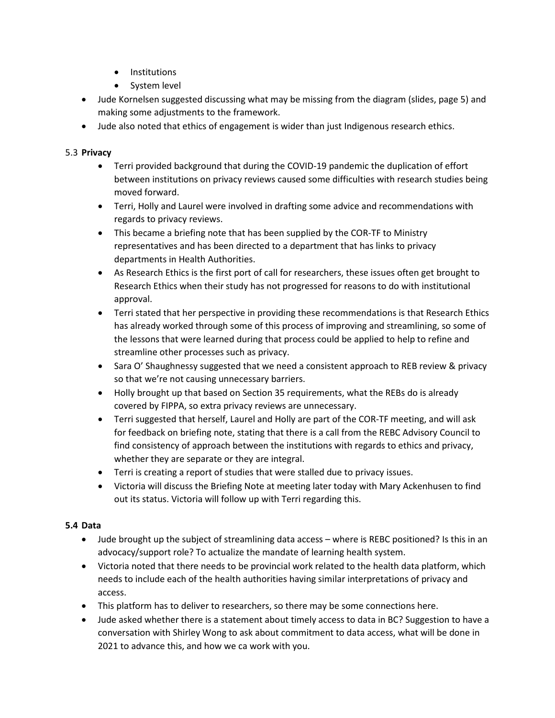- Institutions
- System level
- Jude Kornelsen suggested discussing what may be missing from the diagram (slides, page 5) and making some adjustments to the framework.
- Jude also noted that ethics of engagement is wider than just Indigenous research ethics.

#### 5.3 **Privacy**

- Terri provided background that during the COVID-19 pandemic the duplication of effort between institutions on privacy reviews caused some difficulties with research studies being moved forward.
- Terri, Holly and Laurel were involved in drafting some advice and recommendations with regards to privacy reviews.
- This became a briefing note that has been supplied by the COR-TF to Ministry representatives and has been directed to a department that has links to privacy departments in Health Authorities.
- As Research Ethics is the first port of call for researchers, these issues often get brought to Research Ethics when their study has not progressed for reasons to do with institutional approval.
- Terri stated that her perspective in providing these recommendations is that Research Ethics has already worked through some of this process of improving and streamlining, so some of the lessons that were learned during that process could be applied to help to refine and streamline other processes such as privacy.
- Sara O' Shaughnessy suggested that we need a consistent approach to REB review & privacy so that we're not causing unnecessary barriers.
- Holly brought up that based on Section 35 requirements, what the REBs do is already covered by FIPPA, so extra privacy reviews are unnecessary.
- Terri suggested that herself, Laurel and Holly are part of the COR-TF meeting, and will ask for feedback on briefing note, stating that there is a call from the REBC Advisory Council to find consistency of approach between the institutions with regards to ethics and privacy, whether they are separate or they are integral.
- Terri is creating a report of studies that were stalled due to privacy issues.
- Victoria will discuss the Briefing Note at meeting later today with Mary Ackenhusen to find out its status. Victoria will follow up with Terri regarding this.

#### **5.4 Data**

- Jude brought up the subject of streamlining data access where is REBC positioned? Is this in an advocacy/support role? To actualize the mandate of learning health system.
- Victoria noted that there needs to be provincial work related to the health data platform, which needs to include each of the health authorities having similar interpretations of privacy and access.
- This platform has to deliver to researchers, so there may be some connections here.
- Jude asked whether there is a statement about timely access to data in BC? Suggestion to have a conversation with Shirley Wong to ask about commitment to data access, what will be done in 2021 to advance this, and how we ca work with you.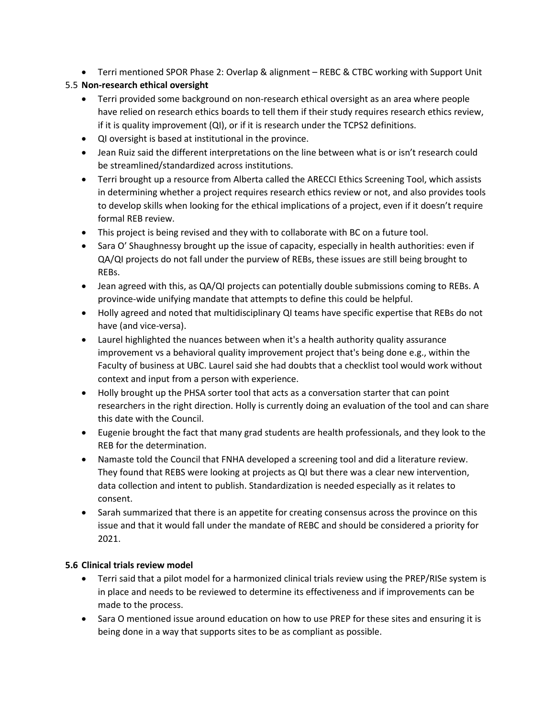Terri mentioned SPOR Phase 2: Overlap & alignment – REBC & CTBC working with Support Unit

## 5.5 **Non-research ethical oversight**

- Terri provided some background on non-research ethical oversight as an area where people have relied on research ethics boards to tell them if their study requires research ethics review, if it is quality improvement (QI), or if it is research under the TCPS2 definitions.
- QI oversight is based at institutional in the province.
- Jean Ruiz said the different interpretations on the line between what is or isn't research could be streamlined/standardized across institutions.
- Terri brought up a resource from Alberta called the ARECCI Ethics Screening Tool, which assists in determining whether a project requires research ethics review or not, and also provides tools to develop skills when looking for the ethical implications of a project, even if it doesn't require formal REB review.
- This project is being revised and they with to collaborate with BC on a future tool.
- Sara O' Shaughnessy brought up the issue of capacity, especially in health authorities: even if QA/QI projects do not fall under the purview of REBs, these issues are still being brought to REBs.
- Jean agreed with this, as QA/QI projects can potentially double submissions coming to REBs. A province-wide unifying mandate that attempts to define this could be helpful.
- Holly agreed and noted that multidisciplinary QI teams have specific expertise that REBs do not have (and vice-versa).
- Laurel highlighted the nuances between when it's a health authority quality assurance improvement vs a behavioral quality improvement project that's being done e.g., within the Faculty of business at UBC. Laurel said she had doubts that a checklist tool would work without context and input from a person with experience.
- Holly brought up the PHSA sorter tool that acts as a conversation starter that can point researchers in the right direction. Holly is currently doing an evaluation of the tool and can share this date with the Council.
- Eugenie brought the fact that many grad students are health professionals, and they look to the REB for the determination.
- Namaste told the Council that FNHA developed a screening tool and did a literature review. They found that REBS were looking at projects as QI but there was a clear new intervention, data collection and intent to publish. Standardization is needed especially as it relates to consent.
- Sarah summarized that there is an appetite for creating consensus across the province on this issue and that it would fall under the mandate of REBC and should be considered a priority for 2021.

#### **5.6 Clinical trials review model**

- Terri said that a pilot model for a harmonized clinical trials review using the PREP/RISe system is in place and needs to be reviewed to determine its effectiveness and if improvements can be made to the process.
- Sara O mentioned issue around education on how to use PREP for these sites and ensuring it is being done in a way that supports sites to be as compliant as possible.